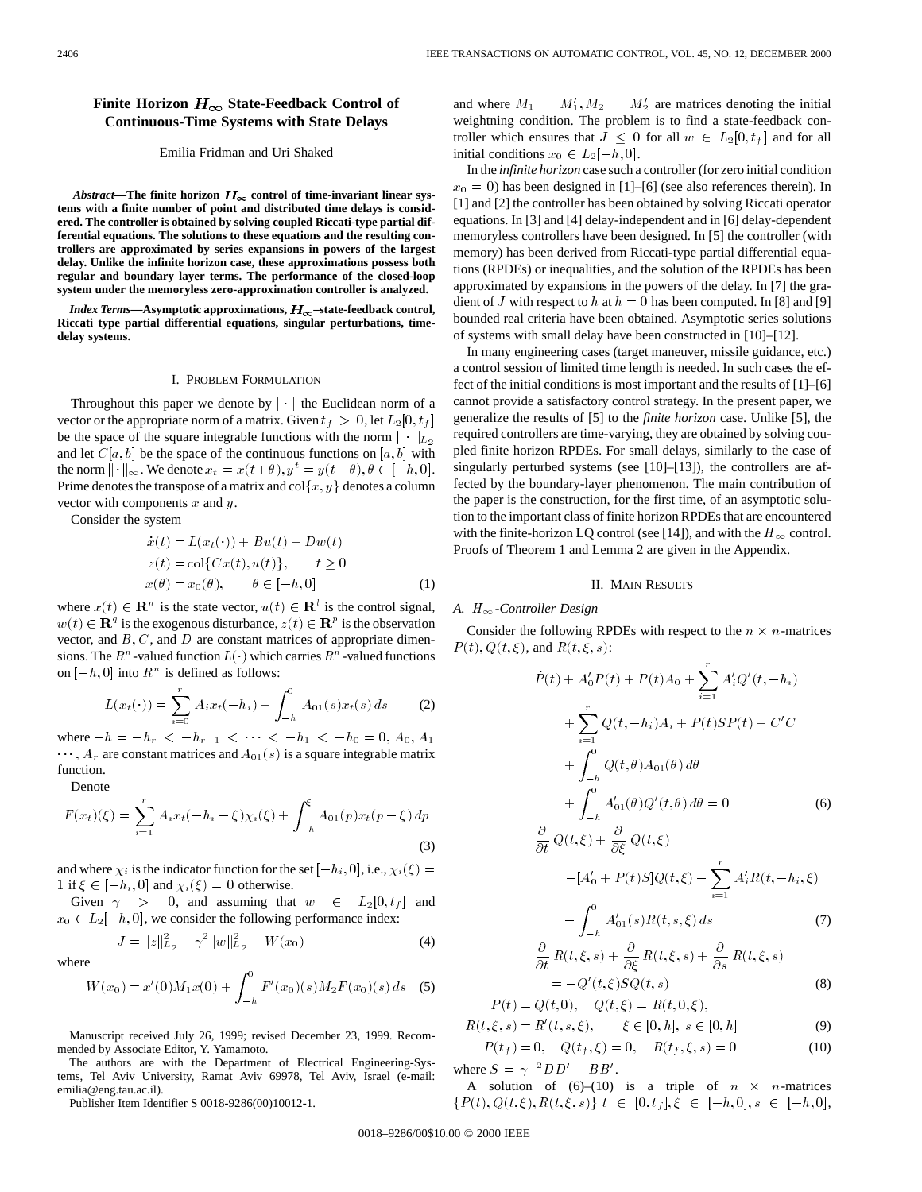# **Finite Horizon**  $H_{\infty}$  State-Feedback Control of **Continuous-Time Systems with State Delays**

# Emilia Fridman and Uri Shaked

Abstract—The finite horizon  $H_{\infty}$  control of time-invariant linear sys**tems with a finite number of point and distributed time delays is considered. The controller is obtained by solving coupled Riccati-type partial differential equations. The solutions to these equations and the resulting controllers are approximated by series expansions in powers of the largest delay. Unlike the infinite horizon case, these approximations possess both regular and boundary layer terms. The performance of the closed-loop system under the memoryless zero-approximation controller is analyzed.**

*Index Terms*—Asymptotic approximations,  $H_{\infty}$ -state-feedback control, **Riccati type partial differential equations, singular perturbations, timedelay systems.**

#### I. PROBLEM FORMULATION

Throughout this paper we denote by  $\vert \cdot \vert$  the Euclidean norm of a vector or the appropriate norm of a matrix. Given  $t_f > 0$ , let  $L_2[0, t_f]$ be the space of the square integrable functions with the norm  $\|\cdot\|_{L_2}$ and let  $C[a, b]$  be the space of the continuous functions on  $[a, b]$  with the norm  $\|\cdot\|_{\infty}$ . We denote  $x_t = x(t+\theta), y^t = y(t-\theta), \theta \in [-h, 0].$ Prime denotes the transpose of a matrix and  $col{x, y}$  denotes a column vector with components  $x$  and  $y$ .

Consider the system

$$
\begin{aligned}\n\dot{x}(t) &= L(x_t(\cdot)) + Bu(t) + Dw(t) \\
z(t) &= \text{col}\{Cx(t), u(t)\}, \qquad t \ge 0 \\
x(\theta) &= x_0(\theta), \qquad \theta \in [-h, 0]\n\end{aligned} \tag{1}
$$

where  $x(t) \in \mathbb{R}^n$  is the state vector,  $u(t) \in \mathbb{R}^l$  is the control signal,  $w(t) \in \mathbf{R}^q$  is the exogenous disturbance,  $z(t) \in \mathbf{R}^p$  is the observation vector, and  $B, C$ , and  $D$  are constant matrices of appropriate dimensions. The  $R^n$ -valued function  $L(\cdot)$  which carries  $R^n$ -valued functions on  $[-h, 0]$  into  $R^n$  is defined as follows:

$$
L(x_t(\cdot)) = \sum_{i=0}^r A_i x_t(-h_i) + \int_{-h}^0 A_{01}(s) x_t(s) ds \qquad (2)
$$

where  $-h = -h_r < -h_{r-1} < \cdots < -h_1 < -h_0 = 0, A_0, A_1$  $\cdots$ ,  $A_r$  are constant matrices and  $A_{01}(s)$  is a square integrable matrix function.

Denote

wh

$$
F(x_t)(\xi) = \sum_{i=1}^r A_i x_t (-h_i - \xi) \chi_i(\xi) + \int_{-h}^{\xi} A_{01}(p) x_t(p - \xi) dp
$$
\n(3)

and where  $\chi_i$  is the indicator function for the set  $[-h_i, 0]$ , i.e.,  $\chi_i(\xi) =$ 1 if  $\xi \in [-h_i, 0]$  and  $\chi_i(\xi)=0$  otherwise.

Given  $\gamma$  > 0, and assuming that  $w \in L_2[0, t_f]$  and  $x_0 \in L_2[-h, 0]$ , we consider the following performance index:

$$
J = ||z||_{L_2}^2 - \gamma^2 ||w||_{L_2}^2 - W(x_0)
$$
 (4)

$$
W(x_0) = x'(0)M_1x(0) + \int_{-h}^{0} F'(x_0)(s)M_2F(x_0)(s) ds
$$
 (5)

Manuscript received July 26, 1999; revised December 23, 1999. Recommended by Associate Editor, Y. Yamamoto.

The authors are with the Department of Electrical Engineering-Systems, Tel Aviv University, Ramat Aviv 69978, Tel Aviv, Israel (e-mail: emilia@eng.tau.ac.il).

Publisher Item Identifier S 0018-9286(00)10012-1.

and where  $M_1 = M_1', M_2 = M_2'$  are matrices denoting the initial weightning condition. The problem is to find a state-feedback controller which ensures that  $J \leq 0$  for all  $w \in L_2[0, t_f]$  and for all initial conditions  $x_0 \in L_2[-h, 0]$ .

In the *infinite horizon* case such a controller (for zero initial condition  $x_0 = 0$ ) has been designed in [1]–[6] (see also references therein). In [1] and [2] the controller has been obtained by solving Riccati operator equations. In [3] and [4] delay-independent and in [6] delay-dependent memoryless controllers have been designed. In [5] the controller (with memory) has been derived from Riccati-type partial differential equations (RPDEs) or inequalities, and the solution of the RPDEs has been approximated by expansions in the powers of the delay. In [7] the gradient of J with respect to h at  $h = 0$  has been computed. In [8] and [9] bounded real criteria have been obtained. Asymptotic series solutions of systems with small delay have been constructed in [10]–[12].

In many engineering cases (target maneuver, missile guidance, etc.) a control session of limited time length is needed. In such cases the effect of the initial conditions is most important and the results of [1]–[6] cannot provide a satisfactory control strategy. In the present paper, we generalize the results of [5] to the *finite horizon* case. Unlike [5], the required controllers are time-varying, they are obtained by solving coupled finite horizon RPDEs. For small delays, similarly to the case of singularly perturbed systems (see [10]–[13]), the controllers are affected by the boundary-layer phenomenon. The main contribution of the paper is the construction, for the first time, of an asymptotic solution to the important class of finite horizon RPDEs that are encountered with the finite-horizon LQ control (see [14]), and with the  $H_{\infty}$  control. Proofs of Theorem 1 and Lemma 2 are given in the Appendix.

### II. MAIN RESULTS

## A.  $H_{\infty}$ -Controller Design

Consider the following RPDEs with respect to the  $n \times n$ -matrices  $P(t)$ ,  $Q(t, \xi)$ , and  $R(t, \xi, s)$ :

$$
\dot{P}(t) + A'_0 P(t) + P(t)A_0 + \sum_{i=1}^r A'_i Q'(t, -h_i) \n+ \sum_{i=1}^r Q(t, -h_i)A_i + P(t)SP(t) + C'C \n+ \int_{-h}^0 Q(t, \theta)A_{01}(\theta) d\theta \n+ \int_{-h}^0 A'_{01}(\theta)Q'(t, \theta) d\theta = 0
$$
\n(6)  
\n
$$
\frac{\partial}{\partial t} Q(t, \xi) + \frac{\partial}{\partial \xi} Q(t, \xi) \n= -[A'_0 + P(t)S]Q(t, \xi) - \sum_{i=1}^r A'_i R(t, -h_i, \xi)
$$

$$
-\int_{-h}^{\infty} A'_{01}(s) R(t, s, \xi) ds
$$
\n
$$
\frac{\partial}{\partial t} R(t, \xi, s) + \frac{\partial}{\partial \xi} R(t, \xi, s) + \frac{\partial}{\partial s} R(t, \xi, s)
$$
\n(7)

$$
= -Q'(t,\xi)SQ(t,s) \tag{8}
$$

$$
P(t) = Q(t, 0), \quad Q(t, \xi) = R(t, 0, \xi),
$$

$$
R(t, \xi, s) = R'(t, s, \xi), \qquad \xi \in [0, h], \ s \in [0, h]
$$
 (9)

$$
P(t_f) = 0, \quad Q(t_f, \xi) = 0, \quad R(t_f, \xi, s) = 0
$$
 (10)  
where  $S = \gamma^{-2} D D' - B B'$ .

A solution of  $(6)$ – $(10)$  is a triple of  $n \times n$ -matrices  $\{P(t), Q(t, \xi), R(t, \xi, s)\}\; t \; \in \; [0, t_f], \xi \; \in \; [-h, 0], s \; \in \; [-h, 0],$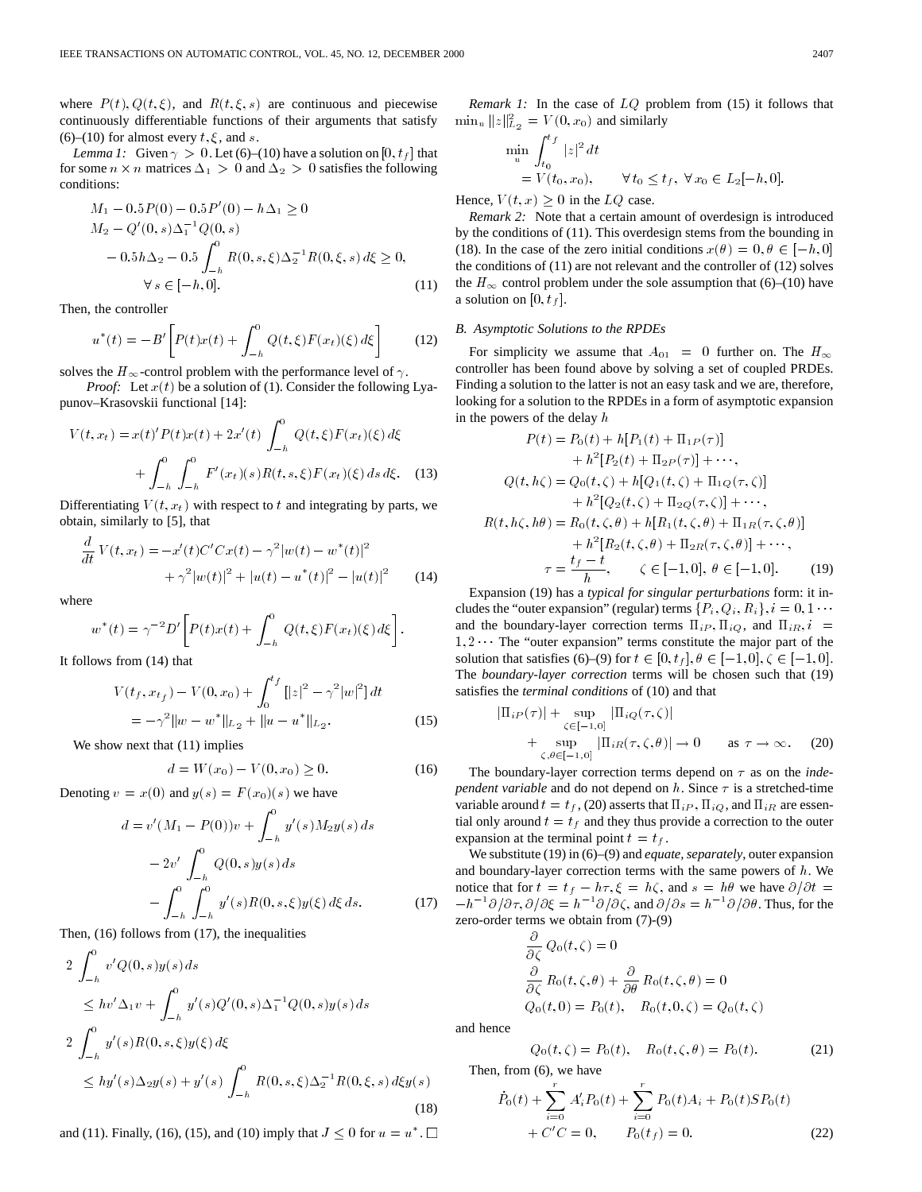where  $P(t)$ ,  $Q(t, \xi)$ , and  $R(t, \xi, s)$  are continuous and piecewise continuously differentiable functions of their arguments that satisfy (6)–(10) for almost every  $t, \xi$ , and  $s$ .

*Lemma 1:* Given  $\gamma > 0$ . Let (6)–(10) have a solution on [0,  $t_f$ ] that for some  $n \times n$  matrices  $\Delta_1 > 0$  and  $\Delta_2 > 0$  satisfies the following conditions:

$$
M_1 - 0.5P(0) - 0.5P'(0) - h\Delta_1 \ge 0
$$
  
\n
$$
M_2 - Q'(0, s)\Delta_1^{-1}Q(0, s)
$$
  
\n
$$
- 0.5h\Delta_2 - 0.5\int_{-h}^0 R(0, s, \xi)\Delta_2^{-1}R(0, \xi, s) d\xi \ge 0,
$$
  
\n
$$
\forall s \in [-h, 0].
$$
\n(11)

Then, the controller

$$
u^*(t) = -B'\left[P(t)x(t) + \int_{-h}^0 Q(t,\xi)F(x_t)(\xi) d\xi\right]
$$
 (12)

solves the  $H_{\infty}$ -control problem with the performance level of  $\gamma$ .

*Proof:* Let  $x(t)$  be a solution of (1). Consider the following Lyapunov–Krasovskii functional [14]:

$$
V(t, x_t) = x(t)'P(t)x(t) + 2x'(t) \int_{-h}^{0} Q(t, \xi)F(x_t)(\xi) d\xi
$$
  
+ 
$$
\int_{-h}^{0} \int_{-h}^{0} F'(x_t)(s)R(t, s, \xi)F(x_t)(\xi) ds d\xi.
$$
 (13)

Differentiating  $V(t, x_t)$  with respect to t and integrating by parts, we obtain, similarly to [5], that

$$
\frac{d}{dt}V(t, x_t) = -x'(t)C'Cx(t) - \gamma^2|w(t) - w^*(t)|^2
$$
  
+  $\gamma^2|w(t)|^2 + |u(t) - u^*(t)|^2 - |u(t)|^2$  (14)

where

$$
w^*(t) = \gamma^{-2} D' \left[ P(t)x(t) + \int_{-h}^0 Q(t,\xi) F(x_t)(\xi) d\xi \right].
$$

It follows from (14) that

$$
V(t_f, x_{t_f}) - V(0, x_0) + \int_0^{t_f} [|z|^2 - \gamma^2 |w|^2] dt
$$
  
=  $-\gamma^2 ||w - w^*||_{L_2} + ||u - u^*||_{L_2}.$  (15)

We show next that  $(11)$  implies

$$
d = W(x_0) - V(0, x_0) \ge 0.
$$
 (16)

Denoting  $v = x(0)$  and  $y(s) = F(x_0)(s)$  we have

$$
d = v'(M_1 - P(0))v + \int_{-h}^{0} y'(s)M_2y(s) ds
$$
  

$$
- 2v' \int_{-h}^{0} Q(0, s)y(s) ds
$$
  

$$
- \int_{-h}^{0} \int_{-h}^{0} y'(s)R(0, s, \xi)y(\xi) d\xi ds.
$$
 (17)

Then, (16) follows from (17), the inequalities

$$
2 \int_{-h}^{0} v'Q(0,s)y(s) ds
$$
  
\n
$$
\leq hv' \Delta_1 v + \int_{-h}^{0} y'(s)Q'(0,s) \Delta_1^{-1}Q(0,s)y(s) ds
$$
  
\n
$$
2 \int_{-h}^{0} y'(s)R(0,s,\xi)y(\xi) d\xi
$$
  
\n
$$
\leq hy'(s) \Delta_2 y(s) + y'(s) \int_{-h}^{0} R(0,s,\xi) \Delta_2^{-1}R(0,\xi,s) d\xi y(s)
$$
\n(18)

and (11). Finally, (16), (15), and (10) imply that  $J \leq 0$  for  $u = u^*$ .

*Remark 1:* In the case of  $LQ$  problem from (15) it follows that  $\min_{u} ||z||_{L_2}^2 = V(0, x_0)$  and similarly

$$
\min_{u} \int_{t_0}^{t_f} |z|^2 dt
$$
  
=  $V(t_0, x_0)$ ,  $\forall t_0 \le t_f$ ,  $\forall x_0 \in L_2[-h, 0]$ .

Hence,  $V(t, x) \geq 0$  in the LQ case.

*Remark 2:* Note that a certain amount of overdesign is introduced by the conditions of (11). This overdesign stems from the bounding in (18). In the case of the zero initial conditions  $x(\theta)=0, \theta \in [-h, 0]$ the conditions of (11) are not relevant and the controller of (12) solves the  $H_{\infty}$  control problem under the sole assumption that (6)–(10) have a solution on  $[0, t_f]$ .

# *B. Asymptotic Solutions to the RPDEs*

For simplicity we assume that  $A_{01} = 0$  further on. The  $H_{\infty}$ controller has been found above by solving a set of coupled PRDEs. Finding a solution to the latter is not an easy task and we are, therefore, looking for a solution to the RPDEs in a form of asymptotic expansion in the powers of the delay h

$$
P(t) = P_0(t) + h[P_1(t) + \Pi_{1P}(\tau)]
$$
  
+  $h^2[P_2(t) + \Pi_{2P}(\tau)] + \cdots$ ,  
 $Q(t, h\zeta) = Q_0(t, \zeta) + h[Q_1(t, \zeta) + \Pi_{1Q}(\tau, \zeta)]$   
+  $h^2[Q_2(t, \zeta) + \Pi_{2Q}(\tau, \zeta)] + \cdots$ ,  
 $R(t, h\zeta, h\theta) = R_0(t, \zeta, \theta) + h[R_1(t, \zeta, \theta) + \Pi_{1R}(\tau, \zeta, \theta)]$   
+  $h^2[R_2(t, \zeta, \theta) + \Pi_{2R}(\tau, \zeta, \theta)] + \cdots$ ,  
 $\tau = \frac{t_f - t}{h}, \qquad \zeta \in [-1, 0], \quad \theta \in [-1, 0].$  (19)

Expansion (19) has a *typical for singular perturbations* form: it includes the "outer expansion" (regular) terms  $\{P_i, Q_i, R_i\}, i = 0, 1 \cdots$ and the boundary-layer correction terms  $\Pi_{iP}$ ,  $\Pi_{iQ}$ , and  $\Pi_{iR}$ ,  $i =$  $1, 2 \cdots$  The "outer expansion" terms constitute the major part of the solution that satisfies (6)–(9) for  $t \in [0, t_f], \theta \in [-1, 0], \zeta \in [-1, 0].$ The *boundary-layer correction* terms will be chosen such that (19) satisfies the *terminal conditions* of (10) and that

$$
|\Pi_{i}P(\tau)| + \sup_{\zeta \in [-1,0]} |\Pi_{i}Q(\tau,\zeta)|
$$
  
+ 
$$
\sup_{\zeta,\theta \in [-1,0]} |\Pi_{i}R(\tau,\zeta,\theta)| \to 0 \quad \text{as } \tau \to \infty.
$$
 (20)

The boundary-layer correction terms depend on  $\tau$  as on the *independent variable* and do not depend on  $h$ . Since  $\tau$  is a stretched-time variable around  $t = t_f$ , (20) asserts that  $\Pi_{iP}$ ,  $\Pi_{iQ}$ , and  $\Pi_{iR}$  are essential only around  $t = t_f$  and they thus provide a correction to the outer expansion at the terminal point  $t = t_f$ .

We substitute (19) in (6)–(9) and *equate, separately*, outer expansion and boundary-layer correction terms with the same powers of  $h$ . We notice that for  $t = t_f - h\tau, \xi = h\zeta$ , and  $s = h\theta$  we have  $\partial/\partial t =$  $-h^{-1}\partial/\partial\tau$ ,  $\partial/\partial\xi = h^{-1}\partial/\partial\zeta$ , and  $\partial/\partial s = h^{-1}\partial/\partial\theta$ . Thus, for the zero-order terms we obtain from (7)-(9)

$$
\frac{\partial}{\partial \zeta} Q_0(t,\zeta) = 0
$$
  

$$
\frac{\partial}{\partial \zeta} R_0(t,\zeta,\theta) + \frac{\partial}{\partial \theta} R_0(t,\zeta,\theta) = 0
$$
  

$$
Q_0(t,0) = P_0(t), \quad R_0(t,0,\zeta) = Q_0(t,\zeta)
$$

and hence

$$
Q_0(t,\zeta) = P_0(t), \quad R_0(t,\zeta,\theta) = P_0(t). \tag{21}
$$

Then, from (6), we have

@

$$
\dot{P}_0(t) + \sum_{i=0}^r A'_i P_0(t) + \sum_{i=0}^r P_0(t) A_i + P_0(t) S P_0(t) \n+ C'C = 0, \qquad P_0(t_f) = 0.
$$
\n(22)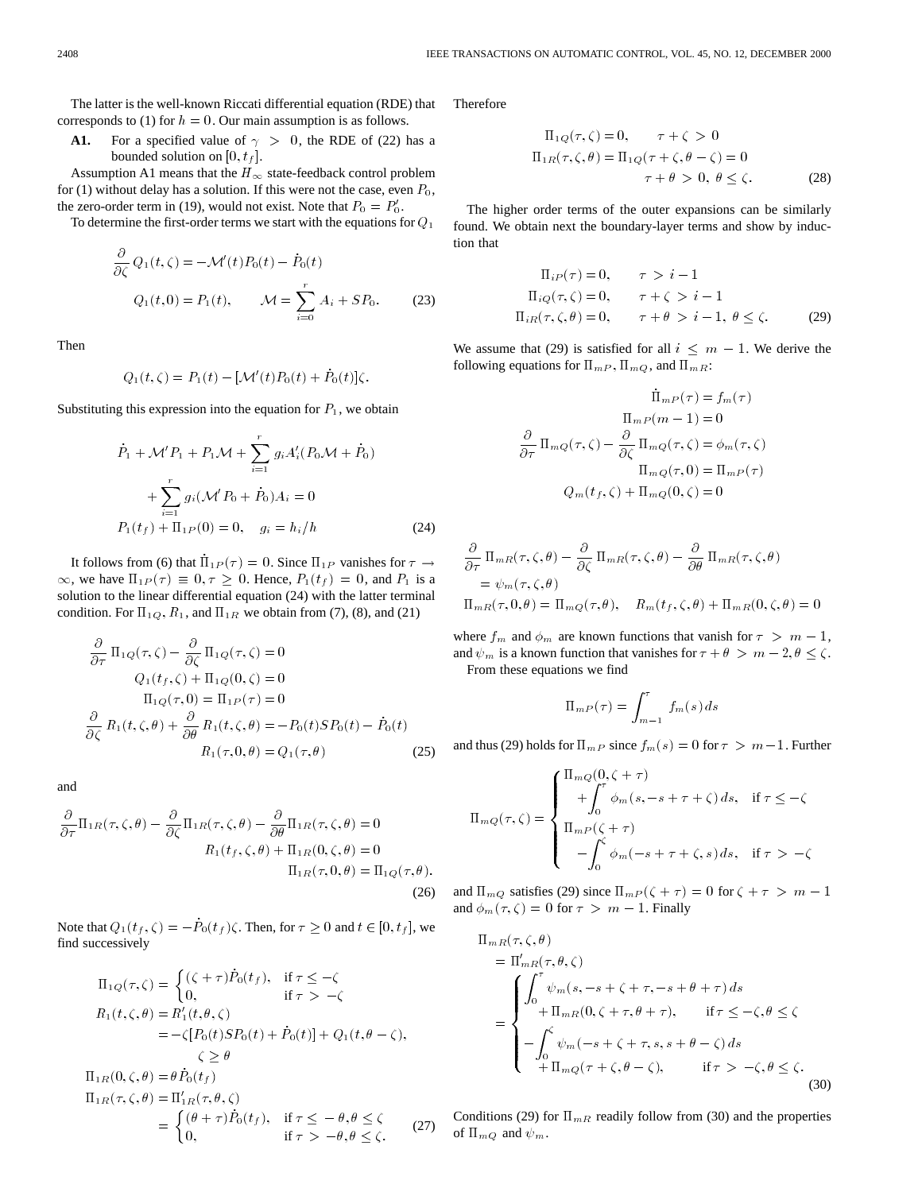The latter is the well-known Riccati differential equation (RDE) that corresponds to (1) for  $h = 0$ . Our main assumption is as follows.

**A1.** For a specified value of  $\gamma > 0$ , the RDE of (22) has a bounded solution on  $[0, t_f]$ .

Assumption A1 means that the  $H_{\infty}$  state-feedback control problem for (1) without delay has a solution. If this were not the case, even  $P_0$ , the zero-order term in (19), would not exist. Note that  $P_0 = P'_0$ .

To determine the first-order terms we start with the equations for  $Q_1$ 

rder term in (19), would not exist. Note that 
$$
P_0 = P'_0
$$
.  
\nmine the first-order terms we start with the equations for  $Q_1$   
\n
$$
\frac{\partial}{\partial \zeta} Q_1(t,\zeta) = -\mathcal{M}'(t)P_0(t) - \dot{P}_0(t)
$$
\n
$$
Q_1(t,0) = P_1(t), \qquad \mathcal{M} = \sum_{i=0}^r A_i + SP_0.
$$
\n(23)

Then

$$
Q_1(t,\zeta) = P_1(t) - [\mathcal{M}'(t)P_0(t) + \dot{P}_0(t)]\zeta.
$$

Substituting this expression into the equation for  $P_1$ , we obtain

$$
\dot{P}_1 + \mathcal{M}' P_1 + P_1 \mathcal{M} + \sum_{i=1}^r g_i A'_i (P_0 \mathcal{M} + \dot{P}_0)
$$
  
+ 
$$
\sum_{i=1}^r g_i (\mathcal{M}' P_0 + \dot{P}_0) A_i = 0
$$
  

$$
P_1(t_f) + \Pi_{1P}(0) = 0, \quad g_i = h_i/h
$$
 (24)

It follows from (6) that  $\Pi_{1P}(\tau) = 0$ . Since  $\Pi_{1P}$  vanishes for  $\tau \rightarrow$  $\infty$ , we have  $\Pi_{1P}(\tau) \equiv 0, \tau \geq 0$ . Hence,  $P_1(t_f) = 0$ , and  $P_1$  is a solution to the linear differential equation (24) with the latter terminal condition. For  $\Pi_{1Q}$ ,  $R_1$ , and  $\Pi_{1R}$  we obtain from (7), (8), and (21)

$$
\frac{\partial}{\partial \tau} \Pi_{1Q}(\tau,\zeta) - \frac{\partial}{\partial \zeta} \Pi_{1Q}(\tau,\zeta) = 0
$$
  
\n
$$
Q_1(t_f,\zeta) + \Pi_{1Q}(0,\zeta) = 0
$$
  
\n
$$
\Pi_{1Q}(\tau,0) = \Pi_{1P}(\tau) = 0
$$
  
\n
$$
\frac{\partial}{\partial \zeta} R_1(t,\zeta,\theta) + \frac{\partial}{\partial \theta} R_1(t,\zeta,\theta) = -P_0(t)SP_0(t) - \dot{P}_0(t)
$$
  
\n
$$
R_1(\tau,0,\theta) = Q_1(\tau,\theta)
$$
 (25)

and

$$
\frac{\partial}{\partial \tau} \Pi_{1R}(\tau, \zeta, \theta) - \frac{\partial}{\partial \zeta} \Pi_{1R}(\tau, \zeta, \theta) - \frac{\partial}{\partial \theta} \Pi_{1R}(\tau, \zeta, \theta) = 0
$$

$$
R_1(t_f, \zeta, \theta) + \Pi_{1R}(0, \zeta, \theta) = 0
$$

$$
\Pi_{1R}(\tau, 0, \theta) = \Pi_{1Q}(\tau, \theta).
$$
(26)

Note that  $Q_1(t_f, \zeta) = -\dot{P}_0(t_f)\zeta$ . Then, for  $\tau \geq 0$  and  $t \in [0, t_f]$ , we find successively

$$
\Pi_{1Q}(\tau,\zeta) = \begin{cases}\n(\zeta + \tau)\dot{P}_0(t_f), & \text{if } \tau \le -\zeta \\
0, & \text{if } \tau > -\zeta\n\end{cases}
$$
\n
$$
R_1(t,\zeta,\theta) = R'_1(t,\theta,\zeta)
$$
\n
$$
= -\zeta[P_0(t)SP_0(t) + \dot{P}_0(t)] + Q_1(t,\theta - \zeta),
$$
\n
$$
\zeta \ge \theta
$$
\n
$$
\Pi_{1R}(0,\zeta,\theta) = \theta \dot{P}_0(t_f)
$$
\n
$$
\Pi_{1R}(\tau,\zeta,\theta) = \Pi'_{1R}(\tau,\theta,\zeta)
$$
\n
$$
= \begin{cases}\n(\theta + \tau)\dot{P}_0(t_f), & \text{if } \tau \le -\theta, \theta \le \zeta \\
0, & \text{if } \tau > -\theta, \theta \le \zeta.\n\end{cases}
$$
\n(27)

Therefore

$$
\Pi_{1Q}(\tau,\zeta) = 0, \qquad \tau + \zeta > 0
$$
  
\n
$$
\Pi_{1R}(\tau,\zeta,\theta) = \Pi_{1Q}(\tau + \zeta,\theta - \zeta) = 0
$$
  
\n
$$
\tau + \theta > 0, \ \theta \le \zeta.
$$
 (28)

The higher order terms of the outer expansions can be similarly found. We obtain next the boundary-layer terms and show by induction that

$$
\Pi_{iP}(\tau) = 0, \quad \tau > i - 1
$$
  
\n
$$
\Pi_{iQ}(\tau, \zeta) = 0, \quad \tau + \zeta > i - 1
$$
  
\n
$$
\Pi_{iR}(\tau, \zeta, \theta) = 0, \quad \tau + \theta > i - 1, \ \theta \le \zeta.
$$
 (29)

We assume that (29) is satisfied for all  $i \leq m - 1$ . We derive the following equations for  $\Pi_{m,P}$ ,  $\Pi_{mQ}$ , and  $\Pi_{mR}$ :

$$
\dot{\Pi}_{mP}(\tau) = f_m(\tau)
$$

$$
\Pi_{mP}(m-1) = 0
$$

$$
\frac{\partial}{\partial \tau} \Pi_{mQ}(\tau,\zeta) - \frac{\partial}{\partial \zeta} \Pi_{mQ}(\tau,\zeta) = \phi_m(\tau,\zeta)
$$

$$
\Pi_{mQ}(\tau,0) = \Pi_{mP}(\tau)
$$

$$
Q_m(t_f,\zeta) + \Pi_{mQ}(0,\zeta) = 0
$$

$$
\frac{\partial}{\partial \tau} \Pi_{mR}(\tau, \zeta, \theta) - \frac{\partial}{\partial \zeta} \Pi_{mR}(\tau, \zeta, \theta) - \frac{\partial}{\partial \theta} \Pi_{mR}(\tau, \zeta, \theta)
$$
  
=  $\psi_m(\tau, \zeta, \theta)$   
 $\Pi_{mR}(\tau, 0, \theta) = \Pi_{mQ}(\tau, \theta), \quad R_m(t_f, \zeta, \theta) + \Pi_{mR}(0, \zeta, \theta) = 0$ 

where  $f_m$  and  $\phi_m$  are known functions that vanish for  $\tau > m - 1$ , and  $\psi_m$  is a known function that vanishes for  $\tau + \theta > m - 2, \theta \le \zeta$ . From these equations we find

$$
\Pi_{mP}(\tau) = \int_{m-1}^{\tau} f_m(s) \, ds
$$

and thus (29) holds for  $\Pi_{m,P}$  since  $f_m(s)=0$  for  $\tau > m-1$ . Further

$$
\Pi_{mQ}(\tau,\zeta) = \begin{cases}\n\Pi_{mQ}(0,\zeta + \tau) \\
+ \int_0^{\tau} \phi_m(s, -s + \tau + \zeta) ds, & \text{if } \tau \leq -\zeta \\
\Pi_{mP}(\zeta + \tau) \\
- \int_0^{\zeta} \phi_m(-s + \tau + \zeta, s) ds, & \text{if } \tau > -\zeta\n\end{cases}
$$

and  $\Pi_{mQ}$  satisfies (29) since  $\Pi_{mP} (\zeta + \tau) = 0$  for  $\zeta + \tau > m - 1$ and  $\phi_m(\tau, \zeta)=0$  for  $\tau > m - 1$ . Finally

$$
\Pi_{mR}(\tau, \zeta, \theta)
$$
\n
$$
= \Pi'_{mR}(\tau, \theta, \zeta)
$$
\n
$$
= \begin{cases}\n\int_0^\tau \psi_m(s, -s + \zeta + \tau, -s + \theta + \tau) ds \\
+ \Pi_{mR}(0, \zeta + \tau, \theta + \tau), & \text{if } \tau \leq -\zeta, \theta \leq \zeta \\
-\int_0^\zeta \psi_m(-s + \zeta + \tau, s, s + \theta - \zeta) ds \\
+ \Pi_{mQ}(\tau + \zeta, \theta - \zeta), & \text{if } \tau > -\zeta, \theta \leq \zeta.\n\end{cases}
$$
\n(30)

Conditions (29) for  $\Pi_{mR}$  readily follow from (30) and the properties of  $\Pi_{mQ}$  and  $\psi_m$ .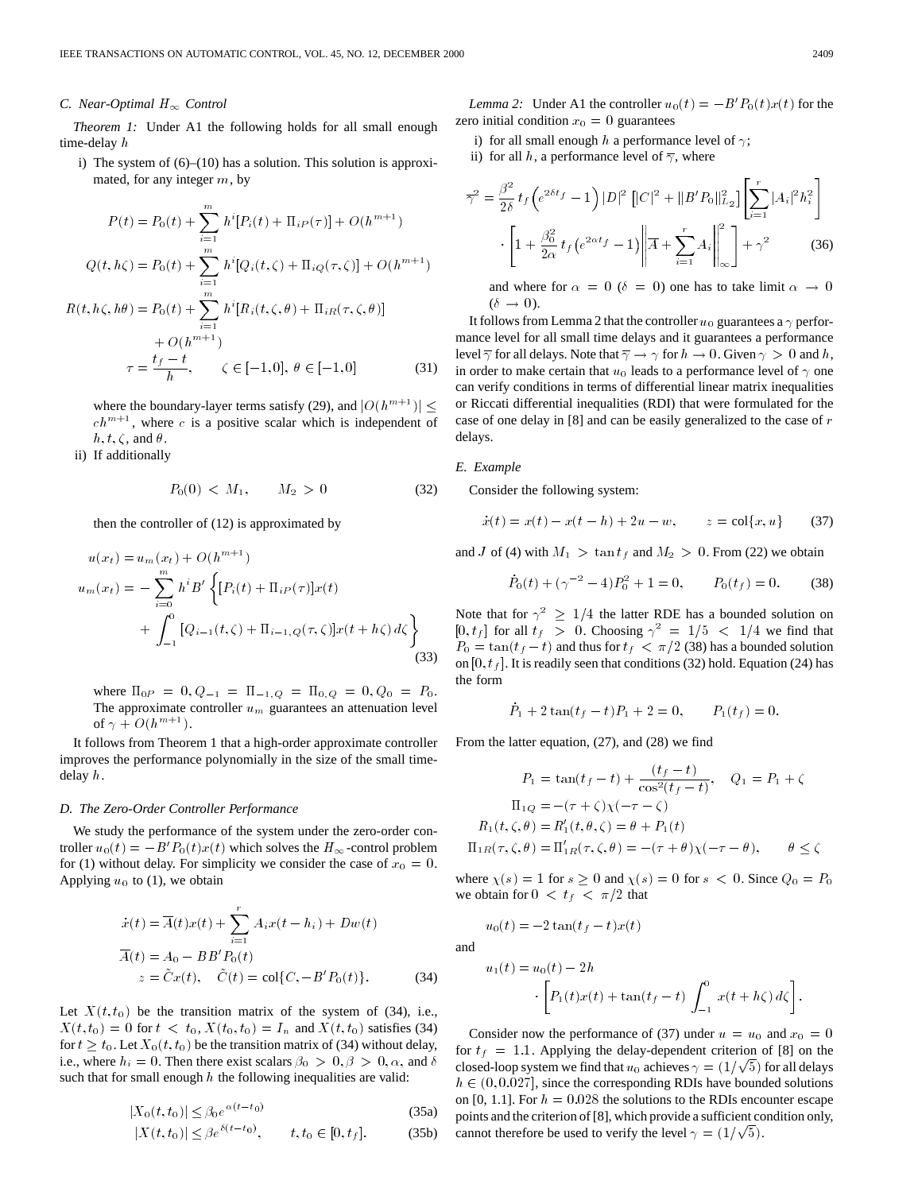### *C. Near-Optimal*  $H_{\infty}$  *Control*

*Theorem 1:* Under A1 the following holds for all small enough time-delay h

i) The system of (6)–(10) has a solution. This solution is approximated, for any integer m, by

$$
P(t) = P_0(t) + \sum_{i=1}^{m} h^i [P_i(t) + \Pi_{iP}(\tau)] + O(h^{m+1})
$$
  

$$
Q(t, h\zeta) = P_0(t) + \sum_{i=1}^{m} h^i [Q_i(t, \zeta) + \Pi_{iQ}(\tau, \zeta)] + O(h^{m+1})
$$
  

$$
R(t, h\zeta, h\theta) = P_0(t) + \sum_{i=1}^{m} h^i [R_i(t, \zeta, \theta) + \Pi_{iR}(\tau, \zeta, \theta)]
$$
  

$$
+ O(h^{m+1})
$$
  

$$
\tau = \frac{t_f - t}{h}, \quad \zeta \in [-1, 0], \ \theta \in [-1, 0]
$$
 (31)

where the boundary-layer terms satisfy (29), and  $|O(h^{m+1})| \leq$  $ch^{m+1}$ , where c is a positive scalar which is independent of  $h, t, \zeta$ , and  $\theta$ .

ii) If additionally

$$
P_0(0) < M_1, \qquad M_2 > 0 \tag{32}
$$

then the controller of (12) is approximated by

$$
u(x_t) = u_m(x_t) + O(h^{m+1})
$$
  
\n
$$
u_m(x_t) = -\sum_{i=0}^{m} h^i B' \left\{ [P_i(t) + \Pi_{iP}(\tau)] x(t) + \int_{-1}^{0} [Q_{i-1}(t,\zeta) + \Pi_{i-1,Q}(\tau,\zeta)] x(t + h\zeta) d\zeta \right\}
$$
\n(33)

where  $\Pi_{0P} = 0, Q_{-1} = \Pi_{-1,Q} = \Pi_{0,Q} = 0, Q_0 = P_0$ . The approximate controller  $u_m$  guarantees an attenuation level of  $\gamma + O(h^{m+1})$ .

It follows from Theorem 1 that a high-order approximate controller improves the performance polynomially in the size of the small timedelay h.

### *D. The Zero-Order Controller Performance*

We study the performance of the system under the zero-order controller  $u_0(t) = -B' P_0(t) x(t)$  which solves the  $H_{\infty}$ -control problem for (1) without delay. For simplicity we consider the case of  $x_0 = 0$ . Applying  $u_0$  to (1), we obtain

$$
\begin{aligned}\n\dot{x}(t) &= \overline{A}(t)x(t) + \sum_{i=1}^{r} A_i x(t - h_i) + Dw(t) \\
\overline{A}(t) &= A_0 - BB'P_0(t) \\
z &= \tilde{C}x(t), \quad \tilde{C}(t) = \text{col}\{C, -B'P_0(t)\}.\n\end{aligned} \tag{34}
$$

Let  $X(t, t_0)$  be the transition matrix of the system of (34), i.e.,  $X(t, t_0)=0$  for  $t < t_0, X(t_0, t_0) = I_n$  and  $X(t, t_0)$  satisfies (34) for  $t \geq t_0$ . Let  $X_0(t, t_0)$  be the transition matrix of (34) without delay, i.e., where  $h_i = 0$ . Then there exist scalars  $\beta_0 > 0, \beta > 0, \alpha$ , and  $\delta$ such that for small enough  $h$  the following inequalities are valid:

$$
|X_0(t, t_0)| \le \beta_0 e^{\alpha(t - t_0)} \tag{35a}
$$

$$
|X(t,t_0)| \leq \beta e^{\delta(t-t_0)}, \qquad t, t_0 \in [0, t_f].
$$
 (35b)

*Lemma 2:* Under A1 the controller  $u_0(t) = -B' P_0(t)x(t)$  for the zero initial condition  $x_0 = 0$  guarantees

i) for all small enough h a performance level of  $\gamma$ ;

ii) for all h, a performance level of  $\overline{\gamma}$ , where

$$
\overline{\gamma}^2 = \frac{\beta^2}{2\delta} t_f \left( e^{2\delta t_f} - 1 \right) |D|^2 \left[ |C|^2 + ||B'P_0||_{L_2}^2 \right] \left[ \sum_{i=1}^r |A_i|^2 h_i^2 \right] \cdot \left[ 1 + \frac{\beta_0^2}{2\alpha} t_f \left( e^{2\alpha t_f} - 1 \right) \left\| \overline{A} + \sum_{i=1}^r A_i \right\|_{\infty}^2 \right] + \gamma^2 \tag{36}
$$

and where for  $\alpha = 0$  ( $\delta = 0$ ) one has to take limit  $\alpha \to 0$  $(\delta \rightarrow 0)$ .

It follows from Lemma 2 that the controller  $u_0$  guarantees a  $\gamma$  performance level for all small time delays and it guarantees a performance level  $\overline{\gamma}$  for all delays. Note that  $\overline{\gamma} \to \gamma$  for  $h \to 0$ . Given  $\gamma > 0$  and h, in order to make certain that  $u_0$  leads to a performance level of  $\gamma$  one can verify conditions in terms of differential linear matrix inequalities or Riccati differential inequalities (RDI) that were formulated for the case of one delay in [8] and can be easily generalized to the case of r delays.

#### *E. Example*

Consider the following system:

$$
\dot{x}(t) = x(t) - x(t - h) + 2u - w, \qquad z = \text{col}\{x, u\} \tag{37}
$$

and J of (4) with  $M_1 > \tan t_f$  and  $M_2 > 0$ . From (22) we obtain

$$
\dot{P}_0(t) + (\gamma^{-2} - 4)P_0^2 + 1 = 0, \qquad P_0(t_f) = 0. \tag{38}
$$

Note that for  $\gamma^2 \geq 1/4$  the latter RDE has a bounded solution on  $[0, t_f]$  for all  $t_f > 0$ . Choosing  $\gamma^2 = 1/5 < 1/4$  we find that  $P_0 = \tan(t_f - t)$  and thus for  $t_f < \pi/2$  (38) has a bounded solution on  $[0, t<sub>f</sub>]$ . It is readily seen that conditions (32) hold. Equation (24) has the form

$$
\dot{P}_1 + 2\tan(t_f - t)P_1 + 2 = 0, \qquad P_1(t_f) = 0.
$$

From the latter equation, (27), and (28) we find

$$
P_1 = \tan(t_f - t) + \frac{(t_f - t)}{\cos^2(t_f - t)}, \quad Q_1 = P_1 + \zeta
$$
  
\n
$$
\Pi_{1Q} = -( \tau + \zeta) \chi(-\tau - \zeta)
$$
  
\n
$$
R_1(t, \zeta, \theta) = R'_1(t, \theta, \zeta) = \theta + P_1(t)
$$
  
\n
$$
\Pi_{1R}(\tau, \zeta, \theta) = \Pi'_{1R}(\tau, \zeta, \theta) = -(\tau + \theta) \chi(-\tau - \theta), \qquad \theta \le \zeta
$$

where  $\chi(s)=1$  for  $s \geq 0$  and  $\chi(s)=0$  for  $s < 0$ . Since  $Q_0 = P_0$ we obtain for  $0 < t_f < \pi/2$  that

$$
u_0(t) = -2\tan(t_f - t)x(t)
$$

and

$$
u_1(t) = u_0(t) - 2h
$$

$$
\cdot \left[ P_1(t)x(t) + \tan(t_f - t) \int_{-1}^0 x(t + h\zeta) d\zeta \right].
$$

Consider now the performance of (37) under  $u = u_0$  and  $x_0 = 0$ for  $t_f = 1.1$ . Applying the delay-dependent criterion of [8] on the for  $t_f = 1.1$ . Applying the delay-dependent criterion of [5] on the closed-loop system we find that  $u_0$  achieves  $\gamma = (1/\sqrt{5})$  for all delays  $h \in (0, 0.027]$ , since the corresponding RDIs have bounded solutions on [0, 1.1]. For  $h = 0.028$  the solutions to the RDIs encounter escape points and the criterion of [8], which provide a sufficient condition only, points and the criterion of [8], which provide a sufficient correlation of the level  $\gamma = (1/\sqrt{5})$ .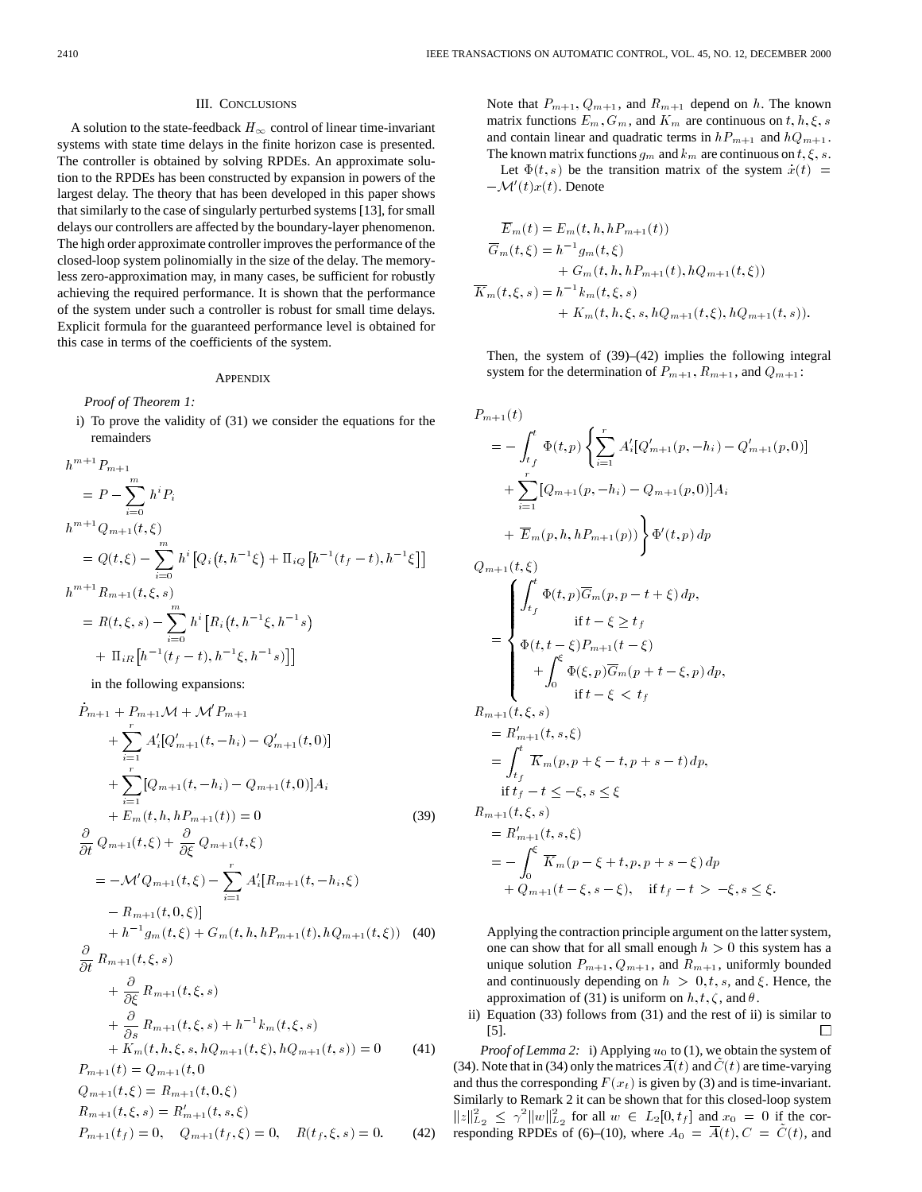### III. CONCLUSIONS

A solution to the state-feedback  $H_{\infty}$  control of linear time-invariant systems with state time delays in the finite horizon case is presented. The controller is obtained by solving RPDEs. An approximate solution to the RPDEs has been constructed by expansion in powers of the largest delay. The theory that has been developed in this paper shows that similarly to the case of singularly perturbed systems [13], for small delays our controllers are affected by the boundary-layer phenomenon. The high order approximate controller improves the performance of the closed-loop system polinomially in the size of the delay. The memoryless zero-approximation may, in many cases, be sufficient for robustly achieving the required performance. It is shown that the performance of the system under such a controller is robust for small time delays. Explicit formula for the guaranteed performance level is obtained for this case in terms of the coefficients of the system.

## **APPENDIX**

*Proof of Theorem 1:*

i) To prove the validity of (31) we consider the equations for the

remainders  
\n
$$
h^{m+1}P_{m+1}
$$
\n
$$
= P - \sum_{i=0}^{m} h^{i}P_{i}
$$
\n
$$
h^{m+1}Q_{m+1}(t,\xi)
$$
\n
$$
= Q(t,\xi) - \sum_{i=0}^{m} h^{i} [Q_{i}(t, h^{-1}\xi) + \Pi_{iQ}[h^{-1}(t_{f}-t), h^{-1}\xi]]
$$
\n
$$
h^{m+1}R_{m+1}(t,\xi,s)
$$
\n
$$
= R(t,\xi,s) - \sum_{i=0}^{m} h^{i} [R_{i}(t, h^{-1}\xi, h^{-1}s)
$$
\n
$$
+ \Pi_{iR}[h^{-1}(t_{f}-t), h^{-1}\xi, h^{-1}s)]]
$$

in the following expansions:

$$
\dot{P}_{m+1} + P_{m+1} \mathcal{M} + \mathcal{M}' P_{m+1} \n+ \sum_{i=1}^{r} A'_{i} [Q'_{m+1}(t, -h_{i}) - Q'_{m+1}(t, 0)] \n+ \sum_{i=1}^{r} [Q_{m+1}(t, -h_{i}) - Q_{m+1}(t, 0)] A_{i} \n+ E_{m}(t, h, h P_{m+1}(t)) = 0
$$
\n(39)  
\n
$$
\frac{\partial}{\partial t} Q_{m+1}(t, \xi) + \frac{\partial}{\partial \xi} Q_{m+1}(t, \xi) \n= -\mathcal{M}' Q_{m+1}(t, \xi) - \sum_{i=1}^{r} A'_{i} [R_{m+1}(t, -h_{i}, \xi) \n- R_{m+1}(t, 0, \xi)] \n+ h^{-1} g_{m}(t, \xi) + G_{m}(t, h, h P_{m+1}(t), h Q_{m+1}(t, \xi))
$$
\n(40)  
\n
$$
\frac{\partial}{\partial t} R_{m+1}(t, \xi, s) \n+ \frac{\partial}{\partial \xi} R_{m+1}(t, \xi, s) \n+ \frac{\partial}{\partial s} R_{m+1}(t, \xi, s) + h^{-1} k_{m}(t, \xi, s) \n+ K_{m}(t, h, \xi, s, h Q_{m+1}(t, \xi), h Q_{m+1}(t, s)) = 0
$$
\n(41)  
\n
$$
P_{m+1}(t) = Q_{m+1}(t, 0) \nQ_{m+1}(t, \xi) = R_{m+1}(t, 0, \xi) \nR_{m+1}(t, \xi, s) = R'_{m+1}(t, s, \xi) \nP_{m+1}(t_f) = 0, \quad Q_{m+1}(t_f, \xi) = 0, \quad R(t_f, \xi, s) = 0.
$$
\n(42)

Note that  $P_{m+1}, Q_{m+1}$ , and  $R_{m+1}$  depend on h. The known matrix functions  $E_m$ ,  $G_m$ , and  $K_m$  are continuous on  $t, h, \xi, s$ and contain linear and quadratic terms in  $hP_{m+1}$  and  $hQ_{m+1}$ . The known matrix functions  $g_m$  and  $k_m$  are continuous on  $t, \xi, s$ .

Let  $\Phi(t, s)$  be the transition matrix of the system  $\dot{x}(t) =$  $-\mathcal{M}'(t)x(t)$ . Denote

$$
\overline{E}_m(t) = E_m(t, h, hP_{m+1}(t))
$$
\n
$$
\overline{G}_m(t, \xi) = h^{-1}g_m(t, \xi)
$$
\n
$$
+ G_m(t, h, hP_{m+1}(t), hQ_{m+1}(t, \xi))
$$
\n
$$
\overline{K}_m(t, \xi, s) = h^{-1}k_m(t, \xi, s)
$$
\n
$$
+ K_m(t, h, \xi, s, hQ_{m+1}(t, \xi), hQ_{m+1}(t, s)).
$$

Then, the system of (39)–(42) implies the following integral system for the determination of  $P_{m+1}$ ,  $R_{m+1}$ , and  $Q_{m+1}$ :

$$
P_{m+1}(t)
$$
  
=  $-\int_{t_f}^{t} \Phi(t, p) \left\{ \sum_{i=1}^{r} A'_i [Q'_{m+1}(p, -h_i) - Q'_{m+1}(p, 0)] \right\}$   
+  $\sum_{i=1}^{r} [Q_{m+1}(p, -h_i) - Q_{m+1}(p, 0)] A_i$   
+  $\overline{E}_m(p, h, h P_{m+1}(p)) \right\} \Phi'(t, p) dp$   

$$
Q_{m+1}(t, \xi)
$$
  
=  $\begin{cases} \int_{t_f}^{t} \Phi(t, p) \overline{G}_m(p, p - t + \xi) dp, \\ \Phi(t, t - \xi) P_{m+1}(t - \xi) \\ + \int_{0}^{\xi} \Phi(\xi, p) \overline{G}_m(p + t - \xi, p) dp, \\ \text{if } t - \xi < t_f \end{cases}$   

$$
R_{m+1}(t, \xi, s)
$$
  
=  $R'_{m+1}(t, s, \xi)$   
=  $\int_{t_f}^{t} \overline{K}_m(p, p + \xi - t, p + s - t) dp,$   

$$
\text{if } t_f - t \leq -\xi, s \leq \xi
$$
  

$$
R_{m+1}(t, \xi, s)
$$
  
=  $R'_{m+1}(t, s, \xi)$   
=  $-\int_{0}^{\xi} \overline{K}_m(p - \xi + t, p, p + s - \xi) dp$   
+  $Q_{m+1}(t - \xi, s - \xi)$ , if  $t_f - t > -\xi, s \leq \xi$ .

Applying the contraction principle argument on the latter system, one can show that for all small enough  $h > 0$  this system has a unique solution  $P_{m+1}$ ,  $Q_{m+1}$ , and  $R_{m+1}$ , uniformly bounded and continuously depending on  $h > 0, t, s$ , and  $\xi$ . Hence, the approximation of (31) is uniform on  $h, t, \zeta$ , and  $\theta$ .

ii) Equation (33) follows from (31) and the rest of ii) is similar to [5]. П

*Proof of Lemma 2:* i) Applying  $u_0$  to (1), we obtain the system of (34). Note that in (34) only the matrices  $\overline{A}(t)$  and  $\tilde{C}(t)$  are time-varying and thus the corresponding  $F(x_t)$  is given by (3) and is time-invariant. Similarly to Remark 2 it can be shown that for this closed-loop system  $||z||_{L_2}^2 \leq \gamma^2 ||w||_{L_2}^2$  for all  $w \in L_2[0, t_f]$  and  $x_0 = 0$  if the corresponding RPDEs of (6)–(10), where  $A_0 = \overline{A}(t)$ ,  $C = \tilde{C}(t)$ , and